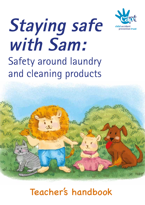

# Safety around laundry and cleaning products **Staying safe with Sam:**



# Teacher's handbook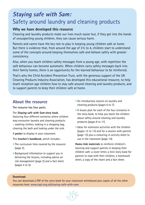# **Staying safe with Sam:**  Safety around laundry and cleaning products

#### **Why we have developed this resource**

Cleaning and laundry products make our lives much easier but, if they get into the hands of unsuspecting young children, they can cause serious harm.

Parents and carers have the key role to play in keeping young children safe at home. But there is evidence that, from around the age of 3½ to 4, children start to understand some of the concepts around keeping themselves safe and behave safely with greater consistency.

Also, when you teach children safety messages from a young age, with repetition the safe behaviour can become automatic. When children carry safety messages back into their family homes, there is an opportunity for the learned behaviour to be reinforced.

That's why the Child Accident Prevention Trust, with the generous support of the UK Cleaning Products Industry Association, has developed this educational resource, to help teach reception age children how to stay safe around cleaning and laundry products, and to support parents to keep their children safe at home.

#### **About the resource**

**The resource has four parts:**

The **Staying safe with Sam story book**,

featuring four different scenarios where children may encounter laundry and cleaning products – washing clothes, looking in a shopping bag, cleaning the bath and looking under the sink.

A **poster** to display in your classroom.

This **teacher's handbook**, which includes:

- The curriculum links covered by the resource (page 2).
- Background information to support you in delivering the lessons, including advice on risk management (page 2) and a fact sheet (pages 4 to 5).
- An introductory session on laundry and cleaning products (pages 6 to 7).
- A lesson plan for each of the four scenarios in the story book, to help you teach the children about safety around cleaning and laundry products (pages 8 to 11).
- Ideas for extension activities with the children (pages 12 to 13) and for a session with parents (page 13) plus a colouring-in activity sheet to use in the classroom (page 14).

**Home-link materials** to reinforce children's learning and support parents in keeping their children safe: a cover letter, a mini story book for parents to read with their children, a homework sheet, a copy of the chant and a fact sheet.

#### **Downloads**

You can download a PDF of the story book for your classroom whiteboard plus copies of all the other resources here: **www.capt.org.uk/staying-safe-with-sam**

**1**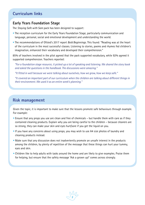#### **Curriculum links**

#### **Early Years Foundation Stage**

The *Staying Safe with Sam* pack has been designed to support:

- The reception curriculum for the Early Years Foundation Stage, particularly communication and language, personal, social and emotional development and understanding the world.
- The recommendations of Ofsted's 2017 report *Bold Beginnings*. This found: "Reading was at the heart of the curriculum in the most successful classes. Listening to stories, poems and rhymes fed children's imagination, enhanced their vocabulary and developed their comprehension."

85% of teachers involved in the pilot agreed that the pack supported vocabulary, while 92% agreed it supported comprehension. Teachers reported:

*"For a foundation stage resource, it picked up a lot of speaking and listening. We shared the story book and asked the questions in the handbook. The discussions were amazing."*

*"It fitted in well because we were talking about ourselves, how we grow, how we keep safe."*

*"It covered an important part of our curriculum when the children are talking about different things in their environment. We used it as an entire week's planning."* 

#### **Risk management**

Given the topic, it is important to make sure that the lessons promote safe behaviours through example. For example:

- Ensure that any props you use are clean and free of chemicals but handle them with care as if they contained cleaning products. Explain why you are being careful to the children – because cleaners are so strong, they can make your skin and eyes hurt/sore if you get the liquid on you.
- If you have any concerns about using props, you may wish to use A4 size photos of laundry and cleaning products instead.
- Make sure that any discussion does not inadvertently promote an unsafe interest in the products among the children, by plenty of repetition of the message that these things can hurt your tummy, eyes and skin.
- Children like to help adults with tasks around the home and are likely to give examples. Praise them for helping, but ensure that the safety message 'Ask a grown up!' comes across strongly.

 $\sim$  2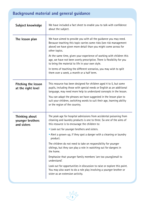# **Background material and general guidance**

| Subject knowledge                                        | We have included a fact sheet to enable you to talk with confidence<br>about the subject.                                                                                                                                   |
|----------------------------------------------------------|-----------------------------------------------------------------------------------------------------------------------------------------------------------------------------------------------------------------------------|
| The lesson plan                                          | We have aimed to provide you with all the guidance you may need.<br>Because teaching this topic carries some risks (see risk management<br>above) we have given more detail than you might come across for<br>other topics. |
|                                                          | At the same time, given your experience of working with children this<br>age, we have not been overly prescriptive. There is flexibility for you<br>to bring the material to life in your own style.                        |
|                                                          | In terms of teaching the different scenarios, you may wish to split<br>them over a week, a month or a half term.                                                                                                            |
| <b>Pitching the lesson</b><br>at the right level         | This resource has been designed for children aged 4 to 5, but some<br>pupils, including those with special needs or English as an additional<br>language, may need more help to understand concepts in the lesson.          |
|                                                          | You can adapt the phrases we have suggested in the lesson plan to<br>suit your children, switching words to suit their age, learning ability<br>or the region of the country.                                               |
| <b>Thinking about</b><br>younger brothers<br>and sisters | The peak age for hospital admissions from accidental poisoning from<br>cleaning and laundry products is one to three. So one of the aims of<br>this resource is to encourage the children to:                               |
|                                                          | . Look out for younger brothers and sisters.                                                                                                                                                                                |
|                                                          | • Alert a grown-up, if they spot a danger with a cleaning or laundry<br>product.                                                                                                                                            |
|                                                          | The children do not need to take on responsibility for younger<br>siblings, but they can play a role in watching out for dangers in<br>the home.                                                                            |
|                                                          | Emphasise that younger family members 'are too young/small to<br>understand'.                                                                                                                                               |
|                                                          | Look out for opportunities in discussion to raise or explore this point.<br>You may also want to do a role play involving a younger brother or<br>sister as an extension activity.                                          |

**3**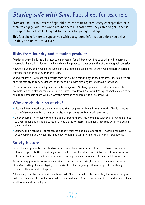# **Staying safe with Sam: Fact sheet for teachers**

From around 3½ to 4 years of age, children can start to learn safety concepts that help them to engage with the world around them in a safer way. They can also gain a sense of responsibility from looking out for dangers for younger siblings.

This fact sheet is here to support you with background information before you deliver a safety session with your class.

#### **Risks from laundry and cleaning products**

Accidental poisoning is the third most common reason for children under five to be admitted to hospital. Household chemicals, including laundry and cleaning products, cause one in five of these hospital admissions.

However, laundry and cleaning products don't just pose a poisoning risk, as they can also hurt children if they get them in their eyes or on their skin.

Young children are at most risk because they explore by putting things in their mouths. Older children are at risk if they try to copy adults around them or 'help' with cleaning tasks without supervision.

It's not always obvious which products can be dangerous. Washing up liquid is relatively harmless for example, but oven cleaner can cause caustic burns if swallowed. You wouldn't expect small children to be able to tell products apart, which is why the message to children is to ask a grown-up.

#### **Why are children so at risk?**

- Little children investigate the world around them by putting things in their mouths. This is a natural part of development, but dangerous if cleaning products are left within their reach
- Older children like to copy or help the adults around them. This, combined with their growing abilities to open things and climb up to reach things that look interesting, means they may get into products they shouldn't.
- Laundry and cleaning products can be brightly coloured and child appealing washing capsules are a good example. But they can cause damage to eyes if bitten into and further harm if swallowed.

#### **Safety features**

Some cleaning products have **child-resistant tops**. These are designed to make it harder for young children to open a bottle containing a potentially harmful product. But child-resistant does not mean child-proof. With increased dexterity, some 3 and 4 year-olds can open child-resistant tops in seconds!

Some laundry products, for example washing capsules and tablets ('liquitabs'), come in boxes with **child-frustrating closures**. Again, these make it harder for young children to open them, though remember they are not child-proof.

All washing capsules and tablets now have their film coated with a **bitter safety ingredient** designed to make the child spit the product out rather than swallow it. Some cleaning and household products have a bittering agent in the liquid.

 $\sim$  4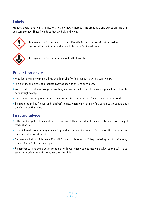#### **Labels**

Product labels have helpful indicators to show how hazardous the product is and advice on safe use and safe storage. These include safety symbols and icons.



 This symbol indicates health hazards like skin irritation or sensitisation, serious eye irritation, or that a product could be harmful if swallowed.



This symbol indicates more severe health hazards.

#### **Prevention advice**

- Keep laundry and cleaning things on a high shelf or in a cupboard with a safety lock.
- Put laundry and cleaning products away as soon as they've been used.
- Watch out for children taking the washing capsule or tablet out of the washing machine. Close the door straight away.
- Don't pour cleaning products into other bottles like drinks bottles. Children can get confused.
- Be careful round at friends' and relatives' homes, where children may find dangerous products under the sink or by the toilet.

#### **First aid advice**

- If the product gets into a child's eyes, wash carefully with water. If the eye irritation carries on, get medical advice.
- If a child swallows a laundry or cleaning product, get medical advice. Don't make them sick or give them anything to eat or drink.
- Get medical help straight away if a child's mouth is burning or if they are being sick, blacking out, having fits or feeling very sleepy.
- Remember to have the product container with you when you get medical advice, as this will make it easier to provide the right treatment for the child.

**5**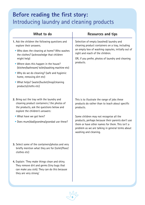# **Before reading the first story:**  Introducing laundry and cleaning products

| What to do                                                                                                                                                                                                                                                                                                                                                                                                                    | <b>Resources and tips</b>                                                                                                                                                                                                                                                                                                                     |
|-------------------------------------------------------------------------------------------------------------------------------------------------------------------------------------------------------------------------------------------------------------------------------------------------------------------------------------------------------------------------------------------------------------------------------|-----------------------------------------------------------------------------------------------------------------------------------------------------------------------------------------------------------------------------------------------------------------------------------------------------------------------------------------------|
| 1. Ask the children the following questions and<br>explore their answers.<br>• Who does the cleaning at home? Who washes<br>the clothes? (acknowledge that children<br>might help)<br>• Where does this happen in the house?<br>(kitchen/bathroom/ toilet/washing machine etc)<br>• Why do we do cleaning? (safe and hygienic<br>home, removing dirt etc)<br>• What helps? (water/bucket/mop/cleaning<br>products/cloths etc) | Selection of empty (washed) laundry and<br>cleaning product containers on a tray, including<br>an empty box of washing capsules, initially out of<br>sight and reach of the children.<br>OR, if you prefer, photos of laundry and cleaning<br>products.                                                                                       |
| 2. Bring out the tray with the laundry and<br>cleaning product containers / the photos of<br>the products, ask the questions below and<br>explore the children's answers:<br>• What have we got here?<br>• Does mum/dad/grandma/grandad use these?                                                                                                                                                                            | This is to illustrate the range of jobs these<br>products do rather than to teach about specific<br>products.<br>Some children may not recognise all the<br>products, perhaps because their parents don't use<br>them or have other names for them. This isn't a<br>problem as we are talking in general terms about<br>washing and cleaning. |
| 3. Select some of the containers/photos and very<br>briefly mention what they are for (toilet/floor/<br>clothes etc)                                                                                                                                                                                                                                                                                                          |                                                                                                                                                                                                                                                                                                                                               |
| 4. Explain: 'They make things clean and shiny.<br>They remove dirt and germs (tiny bugs that<br>can make you sick). They can do this because<br>they are very strong.                                                                                                                                                                                                                                                         |                                                                                                                                                                                                                                                                                                                                               |

**5 6**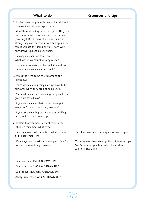| What to do                                                                                                                                                                                                                                                                          | <b>Resources and tips</b>                                                                                              |
|-------------------------------------------------------------------------------------------------------------------------------------------------------------------------------------------------------------------------------------------------------------------------------------|------------------------------------------------------------------------------------------------------------------------|
| 5. Explain how the products can be harmful and<br>discuss some of their experiences:                                                                                                                                                                                                |                                                                                                                        |
| 'All of these cleaning things are great. They can<br>make your home clean and safe from germs<br>(tiny bugs). But because the cleaners are so<br>strong, they can make your skin and eyes hurt/<br>sore if you get the liquid on you. That's why<br>only grown-ups should use them. |                                                                                                                        |
| 'Has anyone ever had sore skin?<br>What was it like? (sunburn/any cause)'                                                                                                                                                                                                           |                                                                                                                        |
| 'They can also make you feel sick if you drink<br>them - has anyone ever been sick?'                                                                                                                                                                                                |                                                                                                                        |
| 6. Stress the need to be careful around the<br>products:                                                                                                                                                                                                                            |                                                                                                                        |
| 'That's why cleaning things always have to be<br>put away when they are not being used.                                                                                                                                                                                             |                                                                                                                        |
| 'You must never touch cleaning things unless a<br>grown-up says it's ok!                                                                                                                                                                                                            |                                                                                                                        |
| 'If you see a cleaner that has not been put<br>away, don't touch it - tell a grown up.'                                                                                                                                                                                             |                                                                                                                        |
| 'If you see a cleaning bottle and are thinking<br>what to do - ask a grown up.                                                                                                                                                                                                      |                                                                                                                        |
| 7. Explain that you have a chant to help the<br>children remember what to do.                                                                                                                                                                                                       |                                                                                                                        |
| 'Here's a chant that reminds us what to do -<br><b>ASK A GROWN UP!'</b>                                                                                                                                                                                                             | The chant works well as a question and response.                                                                       |
| 'It's always best to ask a grown-up up if you're<br>not sure or something is wrong'                                                                                                                                                                                                 | You may want to encourage the children to copy<br>Sam's thumbs up action, when they call out<br><b>ASK A GROWN UP!</b> |
| 'Can I eat this? ASK A GROWN UP!'                                                                                                                                                                                                                                                   |                                                                                                                        |
| 'Can I drink that? ASK A GROWN UP!'                                                                                                                                                                                                                                                 |                                                                                                                        |
| 'Can I touch that? ASK A GROWN UP!'                                                                                                                                                                                                                                                 |                                                                                                                        |
| 'Always remember: ASK A GROWN UP!'                                                                                                                                                                                                                                                  |                                                                                                                        |
|                                                                                                                                                                                                                                                                                     |                                                                                                                        |

**12**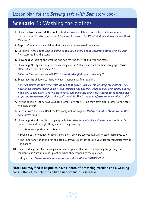# **Scenario 1:** Washing the clothes

- **1.** Show the **front cover of the book**, introduce Sam and Lily, and see if the children can guess they are lions: **'I'd like you to meet Sam and his sister Lily. What kind of animals do you think they are?'**
- **2. Page 1:** Check with the children that they have remembered the names.
- **3.** Tell them: **'Here's Sam. Sam is going to tell you a story about washing clothes with his dad'.** Then start reading the story.
- **4.** Show **page 2** (sorting the washing and dad making the tea) and read the story.
- **5.** Show **page 3** (Lily reaching for the washing capsule/tablet) and read the first paragraph. **Pause** after: *'Oh no what should I do?'* Ask:

 **'What is Sam worried about? What is he thinking? Do you know why?'**

**6.** Encourage the children to identify what is happening. Then explain:

 **'Lily has picked up the little washing tab that grown-ups use for washing the clothes. They have lovely colours, which is why little children like Lily may want to play with them. But it's not a toy. If she bites it, it will taste nasty and make her feel sick. It needs to be locked away or put up somewhere high so she can't reach it. She is too young/little to know what to do'.**

- **7.** Ask the children if they have younger brothers or sisters. Or do they have older brothers and sisters who help them?
- **8.** Carry on with the story. Read the last paragraph on page 3: **'Daddy, I shout … "Good work! Well done, little man."**
- **9.** Show **page 4** and read the first paragraph. Ask: **Why is daddy pleased with Sam?** Confirm it's because Sam did the right thing and asked a grown-up.

Use this as an opportunity to discuss:

- Looking out for younger brothers and sisters, who are too young/little to keep themselves safe.
- The importance of asking for help from a grown-up, if they think a younger brother/sister may be in danger.
- **10.** Finish by doing the chant as a question and response. Reinforce the learning by getting the children to do Sam's thumbs up action when they respond to the question.

End by asking: **'What should we always remember? ASK A GROWN-UP!'** 

**Note: You may find it helpful to have a photo of a washing machine and a washing capsule/tablet, to help the children understand this scenario.**

**7 8**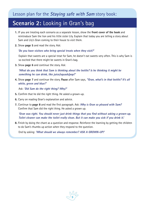# **Scenario 2:** Looking in Gran's bag

- **1.** IF you are treating each scenario as a separate lesson, show the **front cover of the book** and reintroduce Sam the lion and his little sister Lily. Explain that today you are telling a story about Sam and Lily's Gran coming to their house to visit them.
- **2.** Show **page 5** and read the story. Ask:

 **'Do you have visitors who bring special treats when they visit?'** 

 Explain that sweets are a special treat for Sam, he doesn't eat sweets very often. This is why Sam is so excited that there might be sweets in Gran's bag.

**3.** Show **page 6** and continue the story. Ask:

 **'What do you think that Sam is thinking about the bottle? Is he thinking it might be something he can drink, like juice/squash/pop?'**

**4.** Show **page 7** and continue the story. **Pause** after Sam says, **"Gran, what's in that bottle? It's all white, green and blue!"**

Ask: **'Did Sam do the right thing? Why?'**

- **5.** Confirm that he did the right thing. He asked a grown-up.
- **6.** Carry on reading Gran's explanation and advice.
- **7.** Continue to **page 8** and read the first paragraph. Ask: **Why is Gran so pleased with Sam?**  Confirm that Sam did the right thing. He asked a grown up.

 **'Gran was right. You should never just drink things that you find without asking a grown-up. Toilet cleaner can make the toilet really clean. But it can make you sick if you drink it.'** 

**8.** Finish by doing the chant as a question and response. Reinforce the learning by getting the children to do Sam's thumbs up action when they respond to the question.

End by asking: **'What should we always remember? ASK A GROWN-UP!'**

**9**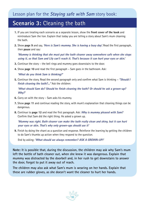# **Scenario 3:** Cleaning the bath

- **1.** IF you are treating each scenario as a separate lesson, show the **front cover of the book** and reintroduce Sam the lion. Explain that today you are telling a story about Sam's mum cleaning the bath.
- **2.** Show **page 9** and say, **'Here is Sam's mummy. She is having a busy day'.** Read the first paragraph, then **pause** and say:

 **'Mummy is thinking that she must put the bath cleaner away somewhere safe when she stops using it, so that Sam and Lily can't reach it. That's because it can hurt your eyes or skin.'**

- **3.** Continue the story the bell rings and mummy goes downstairs to the door.
- **4.** Show **page 10** and read the first paragraph Sam goes in the bathroom. Ask:

**'What do you think Sam is thinking?'**

**5.** Continue the story. Read the second paragraph only and confirm what Sam is thinking – **"Should I finish cleaning the bath?..."** Ask the children:

 **'What should Sam do? Should he finish cleaning the bath? Or should he ask a grown-up? Why?'**

- **6.** Carry on with the story Sam asks his mummy.
- **7.** Show **page 11** and continue reading the story, with mum's explanation that cleaning things can be dangerous.
- **8.** Continue to **page 12** and read the first paragraph. Ask: **Why is mummy pleased with Sam?** Confirm that Sam did the right thing. He asked a grown up.

 **'Mummy was right. Bath cleaner can make the bath really clean and shiny, but it can hurt your eyes or skin. That's why only grown-ups should use it'**

**9.** Finish by doing the chant as a question and response. Reinforce the learning by getting the children to do Sam's thumbs up action when they respond to the question.

End by asking: **'What should we always remember? ASK A GROWN-UP!'**

**Note: It is possible that, during the discussion, the children may ask why Sam's mum left the bottle of bath cleaner out, when she knew it was dangerous. Explain that mummy was distracted by the doorbell and, in her rush to get downstairs to answer the door, forgot to put it away out of reach.**

**The children may also ask what Sam's mum is wearing on her hands. Explain that these are rubber gloves, as she doesn't want the cleaner to hurt her hands.**

**9 10**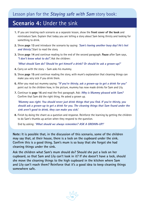# **Scenario 4:** Under the sink

- **1.** IF you are treating each scenario as a separate lesson, show the **front cover of the book** and reintroduce Sam. Explain that today you are telling a story about Sam being thirsty and looking for something to drink.
- **2.** Show **page 13** and introduce the scenario by saying: *'***Sam's having another busy day! He's hot and thirsty'.** Start to read the story.
- **3.** Show **page 14** and continue reading to the end of the second paragraph. **Pause** after Sam says, **"I don't know what to do!".** Ask the children:

 **'What should Sam do? Should he get himself a drink? Or should he ask a grown-up?'**

- **4.** Carry on with the story Sam asks his mummy.
- **5.** Show **page 15** and continue reading the story, with mum's explanation that cleaning things can make you very sick if you drink them.
- **6.** After you read out mummy saying: **"If you're thirsty, ask a grown-up to get a drink for you"**  point out to the children how, in the picture, mummy has now made drinks for Sam and Lily.
- **7.** Continue to **page 16** and read the first paragraph. Ask: **Why is Mummy pleased with Sam?** Confirm that Sam did the right thing. He asked a grown up.

 **'Mummy was right. You should never just drink things that you find. If you're thirsty, you should ask a grown-up to get a drink for you. The cleaning things that Sam found under the sink aren't good to drink, they can make you sick.'**

**8.** Finish by doing the chant as a question and response. Reinforce the learning by getting the children to do Sam's thumbs up action when they respond to the question.

End by asking: **'What should we always remember? ASK A GROWN-UP!'**

**Note: It is possible that, in the discussion of this scenario, some of the children may say that, at their house, there is a lock on the cupboard under the sink. Confirm this is a good thing. Sam's mum is so busy that she forgot she had cleaning things under the sink.** 

**Ask the children what Sam's mum should do? Should she put a lock on her cupboard, so that Sam and Lily can't look in it? If she doesn't have a lock, should she move the cleaning things to the high cupboard in the kitchen where Sam and Lily can't reach them? Reinforce that it's a good idea to keep cleaning things somewhere safe.**

**11**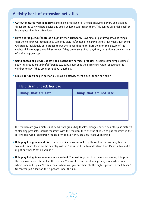#### **Activity bank of extension activities**

- **Cut out pictures from magazines** and make a collage of a kitchen, showing laundry and cleaning things stored safely where babies and small children can't reach them. This can be on a high shelf or in a cupboard with a safety lock.
- Have a large picture/photo of a high kitchen cupboard. Have smaller pictures/photos of things that the children will recognise as safe plus pictures/photos of cleaning things that might hurt them. Children as individuals or in groups to put the things that might hurt them on the picture of the cupboard. Encourage the children to ask if they are unsure about anything, to reinforce the message of asking a grown-up.
- **Using photos or pictures of safe and potentially harmful products,** develop some simple games/ activities around matching/difference e.g. pairs, snap, spot the difference. Again, encourage the children to ask if they are unsure about anything.
- **Linked to Gran's bag in scenario 2** make an activity sheet similar to the one below:

| Help Gran unpack her bag |                          |  |  |
|--------------------------|--------------------------|--|--|
| Things that are safe     | Things that are not safe |  |  |
|                          |                          |  |  |
|                          |                          |  |  |
|                          |                          |  |  |
|                          |                          |  |  |

 The children are given pictures of items from gran's bag (apples, oranges, coffee, tea etc.) plus pictures of cleaning products. Discuss the items with the children, then ask the children to put the items in the correct box. Again, encourage the children to ask if they are unsure about anything.

- **Role play being Sam and his little sister Lily in scenario 1**. Lily thinks that the washing tab is a toy and reaches for it, so she can play with it. She is too little to understand that it's not a toy and it might hurt her. What do you do?
- **Role play being Sam's mummy in scenario 4**. You had forgotten that there are cleaning things in the cupboard under the sink in the kitchen. You want to put the cleaning things somewhere safe, where Sam and Lily can't reach them. Where will you put them? In the high cupboard in the kitchen? Or can you put a lock on the cupboard under the sink?

**12 12 12**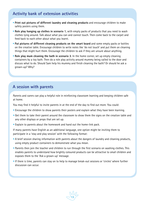#### **Activity bank of extension activities**

- **Print out pictures of different laundry and cleaning products** and encourage children to make safety posters using them.
- **Role play hanging up clothes in scenario 1**, with empty packs of products that you need to wash clothes lying around. Talk about what you can and cannot touch. Then come back to the carpet and feed back to each other about what you learnt.
- **Put pictures of different cleaning products on the smart board** and some empty packs or bottles on the creative table. Encourage children to write notes like 'do not touch' and put them on cleaning things that might hurt them. Encourage the children to ask if they are unsure about anything.
- **Role play mum cleaning the bath in scenario 3**. In the home corner, set up empty cleaning containers by a toy bath. Then do a role play activity around mummy being called to the door and discuss what to do. Should Sam help his mummy and finish cleaning the bath? Or should he ask a grown-up? Why?

#### **A session with parents**

Parents and carers can play a helpful role in reinforcing classroom learning and keeping children safe at home.

You may find it helpful to invite parents in at the end of the day to find out more. You could:

- Encourage the children to show parents their posters and explain what they have been learning.
- Get them to take their parent around the classroom to show them the signs on the creation table and any other displays or props that are set up.
- Explain to parents about the homework and hand out the home-link pack.

If many parents have English as an additional language, one option might be inviting them to participate in a 'stay and play session' with the following format:

- A brief session sharing information with parents about the dangers of laundry and cleaning products, using empty product containers to demonstrate what you mean.
- Parents then join the teacher and children to run through the first scenario on washing clothes. This enables parents to understand how brightly coloured products can be attractive to small children and exposes them to the 'Ask a grown-up' message.
- If there is time, parents can stay on to help to manage break-out sessions or 'circles' where further discussion can occur.

**13**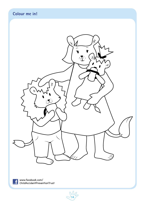